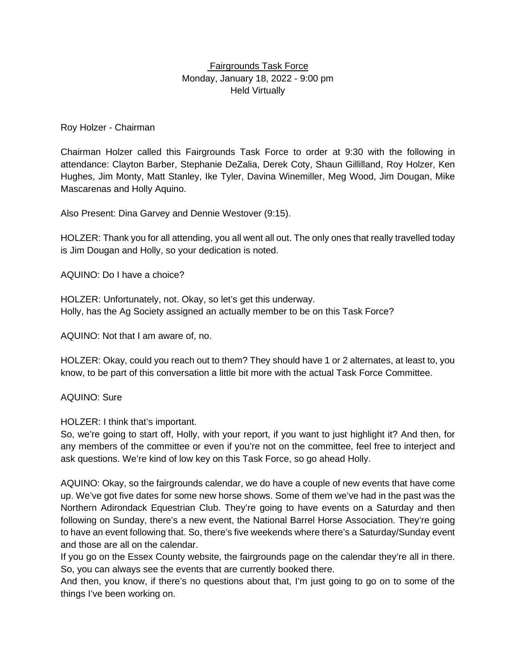## Fairgrounds Task Force Monday, January 18, 2022 - 9:00 pm Held Virtually

## Roy Holzer - Chairman

Chairman Holzer called this Fairgrounds Task Force to order at 9:30 with the following in attendance: Clayton Barber, Stephanie DeZalia, Derek Coty, Shaun Gillilland, Roy Holzer, Ken Hughes, Jim Monty, Matt Stanley, Ike Tyler, Davina Winemiller, Meg Wood, Jim Dougan, Mike Mascarenas and Holly Aquino.

Also Present: Dina Garvey and Dennie Westover (9:15).

HOLZER: Thank you for all attending, you all went all out. The only ones that really travelled today is Jim Dougan and Holly, so your dedication is noted.

AQUINO: Do I have a choice?

HOLZER: Unfortunately, not. Okay, so let's get this underway. Holly, has the Ag Society assigned an actually member to be on this Task Force?

AQUINO: Not that I am aware of, no.

HOLZER: Okay, could you reach out to them? They should have 1 or 2 alternates, at least to, you know, to be part of this conversation a little bit more with the actual Task Force Committee.

AQUINO: Sure

HOLZER: I think that's important.

So, we're going to start off, Holly, with your report, if you want to just highlight it? And then, for any members of the committee or even if you're not on the committee, feel free to interject and ask questions. We're kind of low key on this Task Force, so go ahead Holly.

AQUINO: Okay, so the fairgrounds calendar, we do have a couple of new events that have come up. We've got five dates for some new horse shows. Some of them we've had in the past was the Northern Adirondack Equestrian Club. They're going to have events on a Saturday and then following on Sunday, there's a new event, the National Barrel Horse Association. They're going to have an event following that. So, there's five weekends where there's a Saturday/Sunday event and those are all on the calendar.

If you go on the Essex County website, the fairgrounds page on the calendar they're all in there. So, you can always see the events that are currently booked there.

And then, you know, if there's no questions about that, I'm just going to go on to some of the things I've been working on.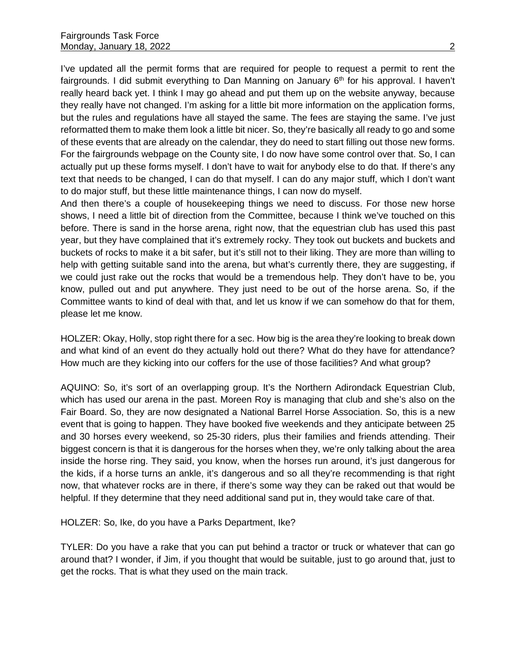I've updated all the permit forms that are required for people to request a permit to rent the fairgrounds. I did submit everything to Dan Manning on January  $6<sup>th</sup>$  for his approval. I haven't really heard back yet. I think I may go ahead and put them up on the website anyway, because they really have not changed. I'm asking for a little bit more information on the application forms, but the rules and regulations have all stayed the same. The fees are staying the same. I've just reformatted them to make them look a little bit nicer. So, they're basically all ready to go and some of these events that are already on the calendar, they do need to start filling out those new forms. For the fairgrounds webpage on the County site, I do now have some control over that. So, I can actually put up these forms myself. I don't have to wait for anybody else to do that. If there's any text that needs to be changed, I can do that myself. I can do any major stuff, which I don't want to do major stuff, but these little maintenance things, I can now do myself.

And then there's a couple of housekeeping things we need to discuss. For those new horse shows, I need a little bit of direction from the Committee, because I think we've touched on this before. There is sand in the horse arena, right now, that the equestrian club has used this past year, but they have complained that it's extremely rocky. They took out buckets and buckets and buckets of rocks to make it a bit safer, but it's still not to their liking. They are more than willing to help with getting suitable sand into the arena, but what's currently there, they are suggesting, if we could just rake out the rocks that would be a tremendous help. They don't have to be, you know, pulled out and put anywhere. They just need to be out of the horse arena. So, if the Committee wants to kind of deal with that, and let us know if we can somehow do that for them, please let me know.

HOLZER: Okay, Holly, stop right there for a sec. How big is the area they're looking to break down and what kind of an event do they actually hold out there? What do they have for attendance? How much are they kicking into our coffers for the use of those facilities? And what group?

AQUINO: So, it's sort of an overlapping group. It's the Northern Adirondack Equestrian Club, which has used our arena in the past. Moreen Roy is managing that club and she's also on the Fair Board. So, they are now designated a National Barrel Horse Association. So, this is a new event that is going to happen. They have booked five weekends and they anticipate between 25 and 30 horses every weekend, so 25-30 riders, plus their families and friends attending. Their biggest concern is that it is dangerous for the horses when they, we're only talking about the area inside the horse ring. They said, you know, when the horses run around, it's just dangerous for the kids, if a horse turns an ankle, it's dangerous and so all they're recommending is that right now, that whatever rocks are in there, if there's some way they can be raked out that would be helpful. If they determine that they need additional sand put in, they would take care of that.

HOLZER: So, Ike, do you have a Parks Department, Ike?

TYLER: Do you have a rake that you can put behind a tractor or truck or whatever that can go around that? I wonder, if Jim, if you thought that would be suitable, just to go around that, just to get the rocks. That is what they used on the main track.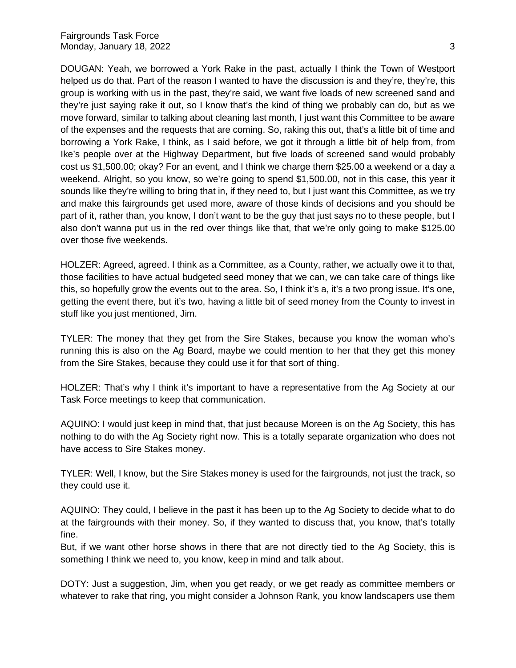DOUGAN: Yeah, we borrowed a York Rake in the past, actually I think the Town of Westport helped us do that. Part of the reason I wanted to have the discussion is and they're, they're, this group is working with us in the past, they're said, we want five loads of new screened sand and they're just saying rake it out, so I know that's the kind of thing we probably can do, but as we move forward, similar to talking about cleaning last month, I just want this Committee to be aware of the expenses and the requests that are coming. So, raking this out, that's a little bit of time and borrowing a York Rake, I think, as I said before, we got it through a little bit of help from, from Ike's people over at the Highway Department, but five loads of screened sand would probably cost us \$1,500.00; okay? For an event, and I think we charge them \$25.00 a weekend or a day a weekend. Alright, so you know, so we're going to spend \$1,500.00, not in this case, this year it sounds like they're willing to bring that in, if they need to, but I just want this Committee, as we try and make this fairgrounds get used more, aware of those kinds of decisions and you should be part of it, rather than, you know, I don't want to be the guy that just says no to these people, but I also don't wanna put us in the red over things like that, that we're only going to make \$125.00 over those five weekends.

HOLZER: Agreed, agreed. I think as a Committee, as a County, rather, we actually owe it to that, those facilities to have actual budgeted seed money that we can, we can take care of things like this, so hopefully grow the events out to the area. So, I think it's a, it's a two prong issue. It's one, getting the event there, but it's two, having a little bit of seed money from the County to invest in stuff like you just mentioned, Jim.

TYLER: The money that they get from the Sire Stakes, because you know the woman who's running this is also on the Ag Board, maybe we could mention to her that they get this money from the Sire Stakes, because they could use it for that sort of thing.

HOLZER: That's why I think it's important to have a representative from the Ag Society at our Task Force meetings to keep that communication.

AQUINO: I would just keep in mind that, that just because Moreen is on the Ag Society, this has nothing to do with the Ag Society right now. This is a totally separate organization who does not have access to Sire Stakes money.

TYLER: Well, I know, but the Sire Stakes money is used for the fairgrounds, not just the track, so they could use it.

AQUINO: They could, I believe in the past it has been up to the Ag Society to decide what to do at the fairgrounds with their money. So, if they wanted to discuss that, you know, that's totally fine.

But, if we want other horse shows in there that are not directly tied to the Ag Society, this is something I think we need to, you know, keep in mind and talk about.

DOTY: Just a suggestion, Jim, when you get ready, or we get ready as committee members or whatever to rake that ring, you might consider a Johnson Rank, you know landscapers use them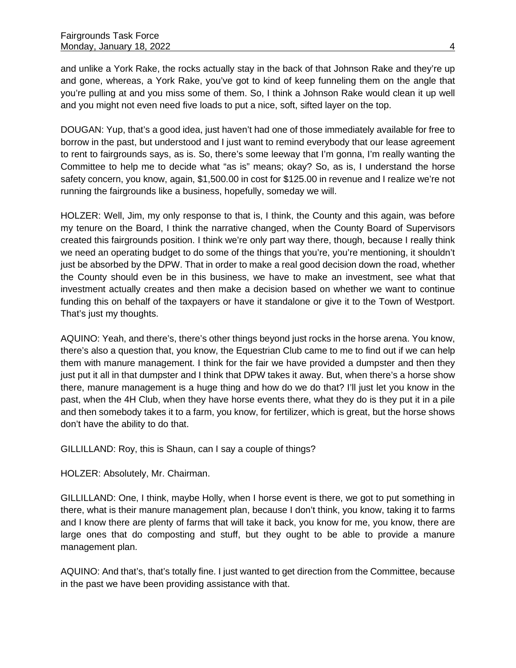and unlike a York Rake, the rocks actually stay in the back of that Johnson Rake and they're up and gone, whereas, a York Rake, you've got to kind of keep funneling them on the angle that you're pulling at and you miss some of them. So, I think a Johnson Rake would clean it up well and you might not even need five loads to put a nice, soft, sifted layer on the top.

DOUGAN: Yup, that's a good idea, just haven't had one of those immediately available for free to borrow in the past, but understood and I just want to remind everybody that our lease agreement to rent to fairgrounds says, as is. So, there's some leeway that I'm gonna, I'm really wanting the Committee to help me to decide what "as is" means; okay? So, as is, I understand the horse safety concern, you know, again, \$1,500.00 in cost for \$125.00 in revenue and I realize we're not running the fairgrounds like a business, hopefully, someday we will.

HOLZER: Well, Jim, my only response to that is, I think, the County and this again, was before my tenure on the Board, I think the narrative changed, when the County Board of Supervisors created this fairgrounds position. I think we're only part way there, though, because I really think we need an operating budget to do some of the things that you're, you're mentioning, it shouldn't just be absorbed by the DPW. That in order to make a real good decision down the road, whether the County should even be in this business, we have to make an investment, see what that investment actually creates and then make a decision based on whether we want to continue funding this on behalf of the taxpayers or have it standalone or give it to the Town of Westport. That's just my thoughts.

AQUINO: Yeah, and there's, there's other things beyond just rocks in the horse arena. You know, there's also a question that, you know, the Equestrian Club came to me to find out if we can help them with manure management. I think for the fair we have provided a dumpster and then they just put it all in that dumpster and I think that DPW takes it away. But, when there's a horse show there, manure management is a huge thing and how do we do that? I'll just let you know in the past, when the 4H Club, when they have horse events there, what they do is they put it in a pile and then somebody takes it to a farm, you know, for fertilizer, which is great, but the horse shows don't have the ability to do that.

GILLILLAND: Roy, this is Shaun, can I say a couple of things?

HOLZER: Absolutely, Mr. Chairman.

GILLILLAND: One, I think, maybe Holly, when I horse event is there, we got to put something in there, what is their manure management plan, because I don't think, you know, taking it to farms and I know there are plenty of farms that will take it back, you know for me, you know, there are large ones that do composting and stuff, but they ought to be able to provide a manure management plan.

AQUINO: And that's, that's totally fine. I just wanted to get direction from the Committee, because in the past we have been providing assistance with that.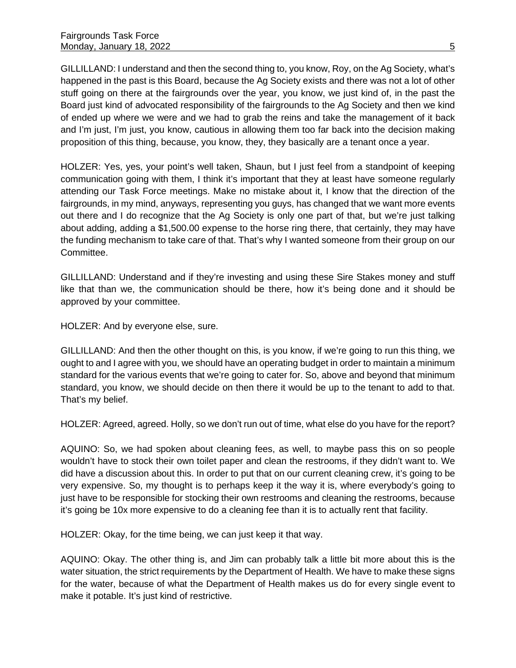GILLILLAND: I understand and then the second thing to, you know, Roy, on the Ag Society, what's happened in the past is this Board, because the Ag Society exists and there was not a lot of other stuff going on there at the fairgrounds over the year, you know, we just kind of, in the past the Board just kind of advocated responsibility of the fairgrounds to the Ag Society and then we kind of ended up where we were and we had to grab the reins and take the management of it back and I'm just, I'm just, you know, cautious in allowing them too far back into the decision making proposition of this thing, because, you know, they, they basically are a tenant once a year.

HOLZER: Yes, yes, your point's well taken, Shaun, but I just feel from a standpoint of keeping communication going with them, I think it's important that they at least have someone regularly attending our Task Force meetings. Make no mistake about it, I know that the direction of the fairgrounds, in my mind, anyways, representing you guys, has changed that we want more events out there and I do recognize that the Ag Society is only one part of that, but we're just talking about adding, adding a \$1,500.00 expense to the horse ring there, that certainly, they may have the funding mechanism to take care of that. That's why I wanted someone from their group on our Committee.

GILLILLAND: Understand and if they're investing and using these Sire Stakes money and stuff like that than we, the communication should be there, how it's being done and it should be approved by your committee.

HOLZER: And by everyone else, sure.

GILLILLAND: And then the other thought on this, is you know, if we're going to run this thing, we ought to and I agree with you, we should have an operating budget in order to maintain a minimum standard for the various events that we're going to cater for. So, above and beyond that minimum standard, you know, we should decide on then there it would be up to the tenant to add to that. That's my belief.

HOLZER: Agreed, agreed. Holly, so we don't run out of time, what else do you have for the report?

AQUINO: So, we had spoken about cleaning fees, as well, to maybe pass this on so people wouldn't have to stock their own toilet paper and clean the restrooms, if they didn't want to. We did have a discussion about this. In order to put that on our current cleaning crew, it's going to be very expensive. So, my thought is to perhaps keep it the way it is, where everybody's going to just have to be responsible for stocking their own restrooms and cleaning the restrooms, because it's going be 10x more expensive to do a cleaning fee than it is to actually rent that facility.

HOLZER: Okay, for the time being, we can just keep it that way.

AQUINO: Okay. The other thing is, and Jim can probably talk a little bit more about this is the water situation, the strict requirements by the Department of Health. We have to make these signs for the water, because of what the Department of Health makes us do for every single event to make it potable. It's just kind of restrictive.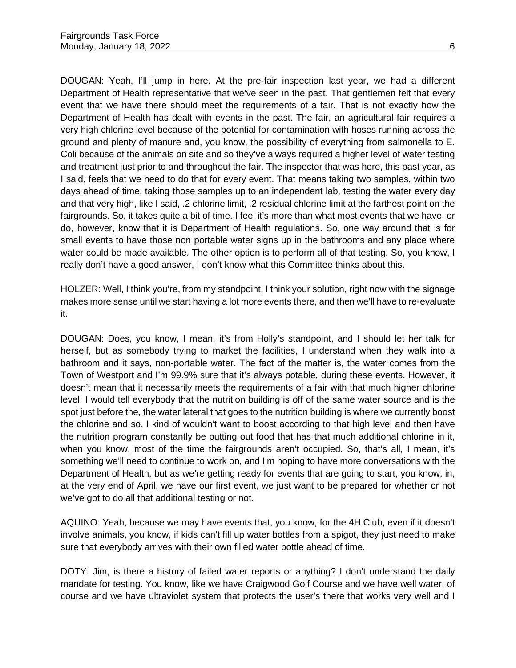DOUGAN: Yeah, I'll jump in here. At the pre-fair inspection last year, we had a different Department of Health representative that we've seen in the past. That gentlemen felt that every event that we have there should meet the requirements of a fair. That is not exactly how the Department of Health has dealt with events in the past. The fair, an agricultural fair requires a very high chlorine level because of the potential for contamination with hoses running across the ground and plenty of manure and, you know, the possibility of everything from salmonella to E. Coli because of the animals on site and so they've always required a higher level of water testing and treatment just prior to and throughout the fair. The inspector that was here, this past year, as I said, feels that we need to do that for every event. That means taking two samples, within two days ahead of time, taking those samples up to an independent lab, testing the water every day and that very high, like I said, .2 chlorine limit, .2 residual chlorine limit at the farthest point on the fairgrounds. So, it takes quite a bit of time. I feel it's more than what most events that we have, or do, however, know that it is Department of Health regulations. So, one way around that is for small events to have those non portable water signs up in the bathrooms and any place where water could be made available. The other option is to perform all of that testing. So, you know, I really don't have a good answer, I don't know what this Committee thinks about this.

HOLZER: Well, I think you're, from my standpoint, I think your solution, right now with the signage makes more sense until we start having a lot more events there, and then we'll have to re-evaluate it.

DOUGAN: Does, you know, I mean, it's from Holly's standpoint, and I should let her talk for herself, but as somebody trying to market the facilities, I understand when they walk into a bathroom and it says, non-portable water. The fact of the matter is, the water comes from the Town of Westport and I'm 99.9% sure that it's always potable, during these events. However, it doesn't mean that it necessarily meets the requirements of a fair with that much higher chlorine level. I would tell everybody that the nutrition building is off of the same water source and is the spot just before the, the water lateral that goes to the nutrition building is where we currently boost the chlorine and so, I kind of wouldn't want to boost according to that high level and then have the nutrition program constantly be putting out food that has that much additional chlorine in it, when you know, most of the time the fairgrounds aren't occupied. So, that's all, I mean, it's something we'll need to continue to work on, and I'm hoping to have more conversations with the Department of Health, but as we're getting ready for events that are going to start, you know, in, at the very end of April, we have our first event, we just want to be prepared for whether or not we've got to do all that additional testing or not.

AQUINO: Yeah, because we may have events that, you know, for the 4H Club, even if it doesn't involve animals, you know, if kids can't fill up water bottles from a spigot, they just need to make sure that everybody arrives with their own filled water bottle ahead of time.

DOTY: Jim, is there a history of failed water reports or anything? I don't understand the daily mandate for testing. You know, like we have Craigwood Golf Course and we have well water, of course and we have ultraviolet system that protects the user's there that works very well and I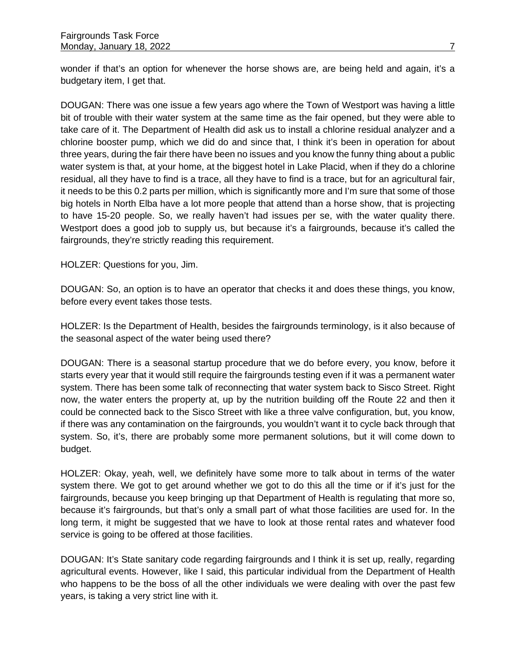wonder if that's an option for whenever the horse shows are, are being held and again, it's a budgetary item, I get that.

DOUGAN: There was one issue a few years ago where the Town of Westport was having a little bit of trouble with their water system at the same time as the fair opened, but they were able to take care of it. The Department of Health did ask us to install a chlorine residual analyzer and a chlorine booster pump, which we did do and since that, I think it's been in operation for about three years, during the fair there have been no issues and you know the funny thing about a public water system is that, at your home, at the biggest hotel in Lake Placid, when if they do a chlorine residual, all they have to find is a trace, all they have to find is a trace, but for an agricultural fair, it needs to be this 0.2 parts per million, which is significantly more and I'm sure that some of those big hotels in North Elba have a lot more people that attend than a horse show, that is projecting to have 15-20 people. So, we really haven't had issues per se, with the water quality there. Westport does a good job to supply us, but because it's a fairgrounds, because it's called the fairgrounds, they're strictly reading this requirement.

HOLZER: Questions for you, Jim.

DOUGAN: So, an option is to have an operator that checks it and does these things, you know, before every event takes those tests.

HOLZER: Is the Department of Health, besides the fairgrounds terminology, is it also because of the seasonal aspect of the water being used there?

DOUGAN: There is a seasonal startup procedure that we do before every, you know, before it starts every year that it would still require the fairgrounds testing even if it was a permanent water system. There has been some talk of reconnecting that water system back to Sisco Street. Right now, the water enters the property at, up by the nutrition building off the Route 22 and then it could be connected back to the Sisco Street with like a three valve configuration, but, you know, if there was any contamination on the fairgrounds, you wouldn't want it to cycle back through that system. So, it's, there are probably some more permanent solutions, but it will come down to budget.

HOLZER: Okay, yeah, well, we definitely have some more to talk about in terms of the water system there. We got to get around whether we got to do this all the time or if it's just for the fairgrounds, because you keep bringing up that Department of Health is regulating that more so, because it's fairgrounds, but that's only a small part of what those facilities are used for. In the long term, it might be suggested that we have to look at those rental rates and whatever food service is going to be offered at those facilities.

DOUGAN: It's State sanitary code regarding fairgrounds and I think it is set up, really, regarding agricultural events. However, like I said, this particular individual from the Department of Health who happens to be the boss of all the other individuals we were dealing with over the past few years, is taking a very strict line with it.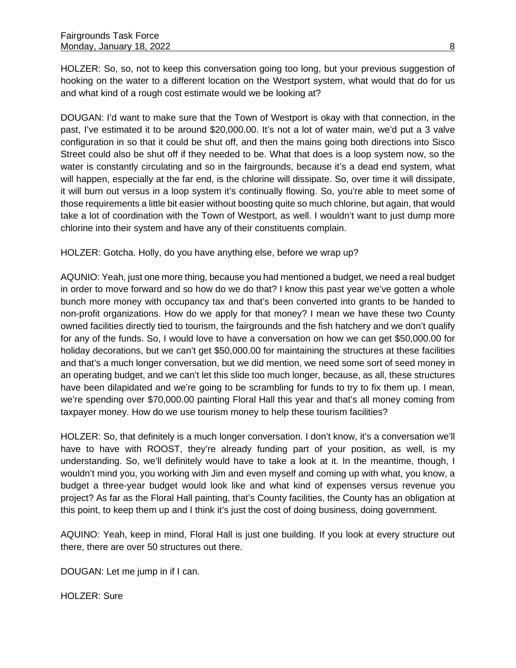HOLZER: So, so, not to keep this conversation going too long, but your previous suggestion of hooking on the water to a different location on the Westport system, what would that do for us and what kind of a rough cost estimate would we be looking at?

DOUGAN: I'd want to make sure that the Town of Westport is okay with that connection, in the past, I've estimated it to be around \$20,000.00. It's not a lot of water main, we'd put a 3 valve configuration in so that it could be shut off, and then the mains going both directions into Sisco Street could also be shut off if they needed to be. What that does is a loop system now, so the water is constantly circulating and so in the fairgrounds, because it's a dead end system, what will happen, especially at the far end, is the chlorine will dissipate. So, over time it will dissipate, it will burn out versus in a loop system it's continually flowing. So, you're able to meet some of those requirements a little bit easier without boosting quite so much chlorine, but again, that would take a lot of coordination with the Town of Westport, as well. I wouldn't want to just dump more chlorine into their system and have any of their constituents complain.

HOLZER: Gotcha. Holly, do you have anything else, before we wrap up?

AQUNIO: Yeah, just one more thing, because you had mentioned a budget, we need a real budget in order to move forward and so how do we do that? I know this past year we've gotten a whole bunch more money with occupancy tax and that's been converted into grants to be handed to non-profit organizations. How do we apply for that money? I mean we have these two County owned facilities directly tied to tourism, the fairgrounds and the fish hatchery and we don't qualify for any of the funds. So, I would love to have a conversation on how we can get \$50,000.00 for holiday decorations, but we can't get \$50,000.00 for maintaining the structures at these facilities and that's a much longer conversation, but we did mention, we need some sort of seed money in an operating budget, and we can't let this slide too much longer, because, as all, these structures have been dilapidated and we're going to be scrambling for funds to try to fix them up. I mean, we're spending over \$70,000.00 painting Floral Hall this year and that's all money coming from taxpayer money. How do we use tourism money to help these tourism facilities?

HOLZER: So, that definitely is a much longer conversation. I don't know, it's a conversation we'll have to have with ROOST, they're already funding part of your position, as well, is my understanding. So, we'll definitely would have to take a look at it. In the meantime, though, I wouldn't mind you, you working with Jim and even myself and coming up with what, you know, a budget a three-year budget would look like and what kind of expenses versus revenue you project? As far as the Floral Hall painting, that's County facilities, the County has an obligation at this point, to keep them up and I think it's just the cost of doing business, doing government.

AQUINO: Yeah, keep in mind, Floral Hall is just one building. If you look at every structure out there, there are over 50 structures out there.

DOUGAN: Let me jump in if I can.

HOLZER: Sure